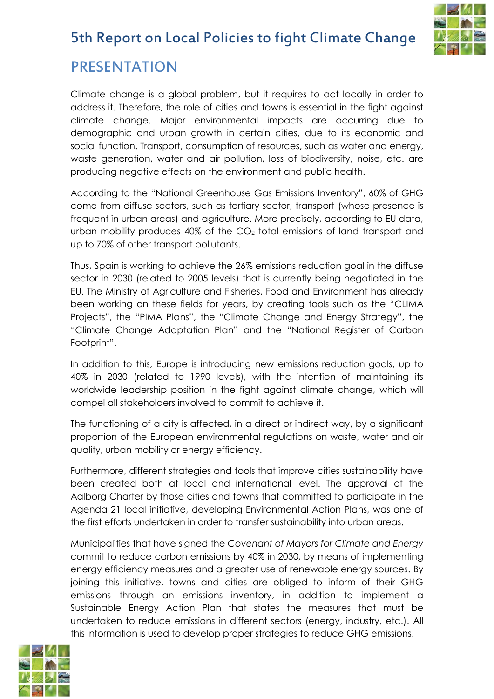

### PRESENTATION

Climate change is a global problem, but it requires to act locally in order to address it. Therefore, the role of cities and towns is essential in the fight against climate change. Major environmental impacts are occurring due to demographic and urban growth in certain cities, due to its economic and social function. Transport, consumption of resources, such as water and energy, waste generation, water and air pollution, loss of biodiversity, noise, etc. are producing negative effects on the environment and public health.

According to the "National Greenhouse Gas Emissions Inventory", 60% of GHG come from diffuse sectors, such as tertiary sector, transport (whose presence is frequent in urban areas) and agriculture. More precisely, according to EU data, urban mobility produces  $40\%$  of the  $CO<sub>2</sub>$  total emissions of land transport and up to 70% of other transport pollutants.

Thus, Spain is working to achieve the 26% emissions reduction goal in the diffuse sector in 2030 (related to 2005 levels) that is currently being negotiated in the EU. The Ministry of Agriculture and Fisheries, Food and Environment has already been working on these fields for years, by creating tools such as the "CLIMA Projects", the "PIMA Plans", the "Climate Change and Energy Strategy", the "Climate Change Adaptation Plan" and the "National Register of Carbon Footprint".

In addition to this, Europe is introducing new emissions reduction goals, up to 40% in 2030 (related to 1990 levels), with the intention of maintaining its worldwide leadership position in the fight against climate change, which will compel all stakeholders involved to commit to achieve it.

The functioning of a city is affected, in a direct or indirect way, by a significant proportion of the European environmental regulations on waste, water and air quality, urban mobility or energy efficiency.

Furthermore, different strategies and tools that improve cities sustainability have been created both at local and international level. The approval of the Aalborg Charter by those cities and towns that committed to participate in the Agenda 21 local initiative, developing Environmental Action Plans, was one of the first efforts undertaken in order to transfer sustainability into urban areas.

Municipalities that have signed the *Covenant of Mayors for Climate and Energy* commit to reduce carbon emissions by 40% in 2030, by means of implementing energy efficiency measures and a greater use of renewable energy sources. By joining this initiative, towns and cities are obliged to inform of their GHG emissions through an emissions inventory, in addition to implement a Sustainable Energy Action Plan that states the measures that must be undertaken to reduce emissions in different sectors (energy, industry, etc.). All this information is used to develop proper strategies to reduce GHG emissions.

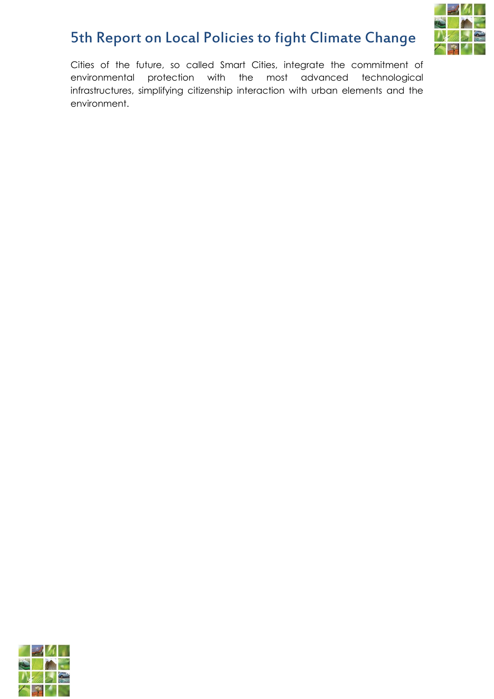

Cities of the future, so called Smart Cities, integrate the commitment of environmental protection with the most advanced technological infrastructures, simplifying citizenship interaction with urban elements and the environment.

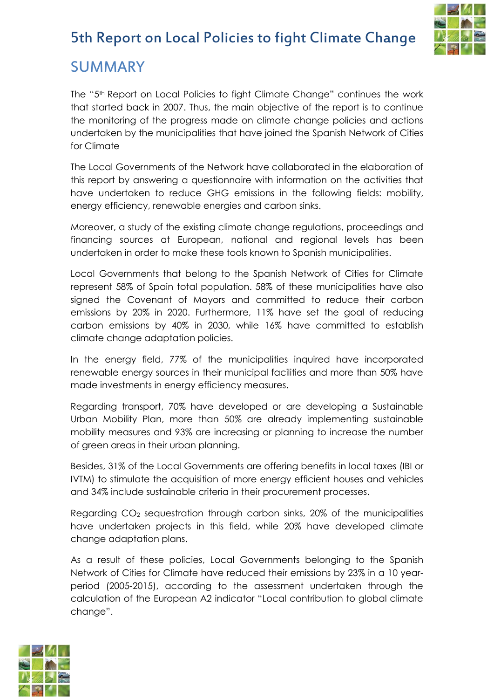

#### SUMMARY

The "5th Report on Local Policies to fight Climate Change" continues the work that started back in 2007. Thus, the main objective of the report is to continue the monitoring of the progress made on climate change policies and actions undertaken by the municipalities that have joined the Spanish Network of Cities for Climate

The Local Governments of the Network have collaborated in the elaboration of this report by answering a questionnaire with information on the activities that have undertaken to reduce GHG emissions in the following fields: mobility, energy efficiency, renewable energies and carbon sinks.

Moreover, a study of the existing climate change regulations, proceedings and financing sources at European, national and regional levels has been undertaken in order to make these tools known to Spanish municipalities.

Local Governments that belong to the Spanish Network of Cities for Climate represent 58% of Spain total population. 58% of these municipalities have also signed the Covenant of Mayors and committed to reduce their carbon emissions by 20% in 2020. Furthermore, 11% have set the goal of reducing carbon emissions by 40% in 2030, while 16% have committed to establish climate change adaptation policies.

In the energy field, 77% of the municipalities inquired have incorporated renewable energy sources in their municipal facilities and more than 50% have made investments in energy efficiency measures.

Regarding transport, 70% have developed or are developing a Sustainable Urban Mobility Plan, more than 50% are already implementing sustainable mobility measures and 93% are increasing or planning to increase the number of green areas in their urban planning.

Besides, 31% of the Local Governments are offering benefits in local taxes (IBI or IVTM) to stimulate the acquisition of more energy efficient houses and vehicles and 34% include sustainable criteria in their procurement processes.

Regarding CO<sup>2</sup> sequestration through carbon sinks, 20% of the municipalities have undertaken projects in this field, while 20% have developed climate change adaptation plans.

As a result of these policies, Local Governments belonging to the Spanish Network of Cities for Climate have reduced their emissions by 23% in a 10 yearperiod (2005-2015), according to the assessment undertaken through the calculation of the European A2 indicator "Local contribution to global climate change".